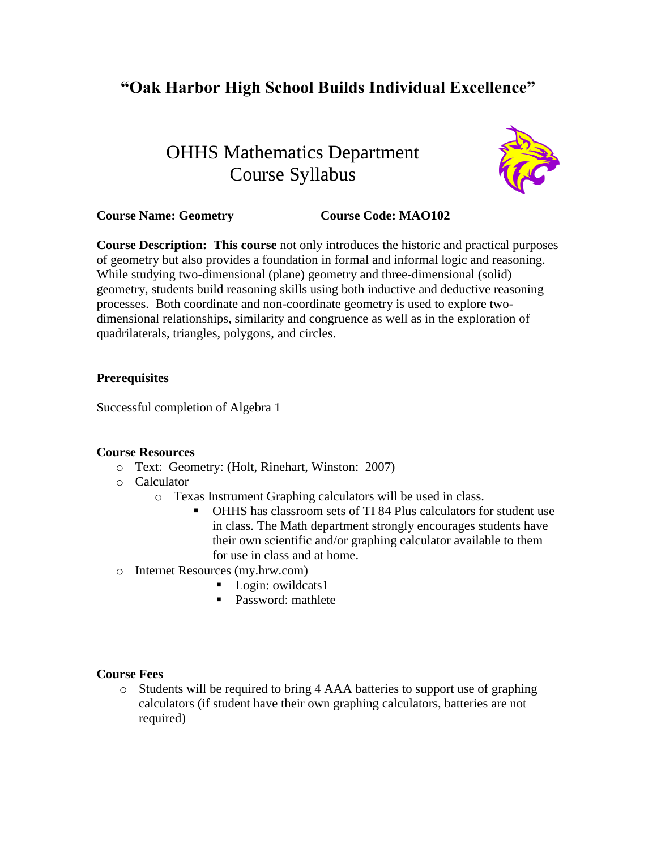## **"Oak Harbor High School Builds Individual Excellence"**

# OHHS Mathematics Department Course Syllabus



## **Course Name: Geometry Course Code: MAO102**

**Course Description: This course** not only introduces the historic and practical purposes of geometry but also provides a foundation in formal and informal logic and reasoning. While studying two-dimensional (plane) geometry and three-dimensional (solid) geometry, students build reasoning skills using both inductive and deductive reasoning processes. Both coordinate and non-coordinate geometry is used to explore twodimensional relationships, similarity and congruence as well as in the exploration of quadrilaterals, triangles, polygons, and circles.

#### **Prerequisites**

Successful completion of Algebra 1

## **Course Resources**

- o Text: Geometry: (Holt, Rinehart, Winston: 2007)
- o Calculator
	- o Texas Instrument Graphing calculators will be used in class.
		- OHHS has classroom sets of TI 84 Plus calculators for student use in class. The Math department strongly encourages students have their own scientific and/or graphing calculator available to them for use in class and at home.
- o Internet Resources (my.hrw.com)
	- Login: owildcats1
	- **Password:** mathlete

#### **Course Fees**

o Students will be required to bring 4 AAA batteries to support use of graphing calculators (if student have their own graphing calculators, batteries are not required)